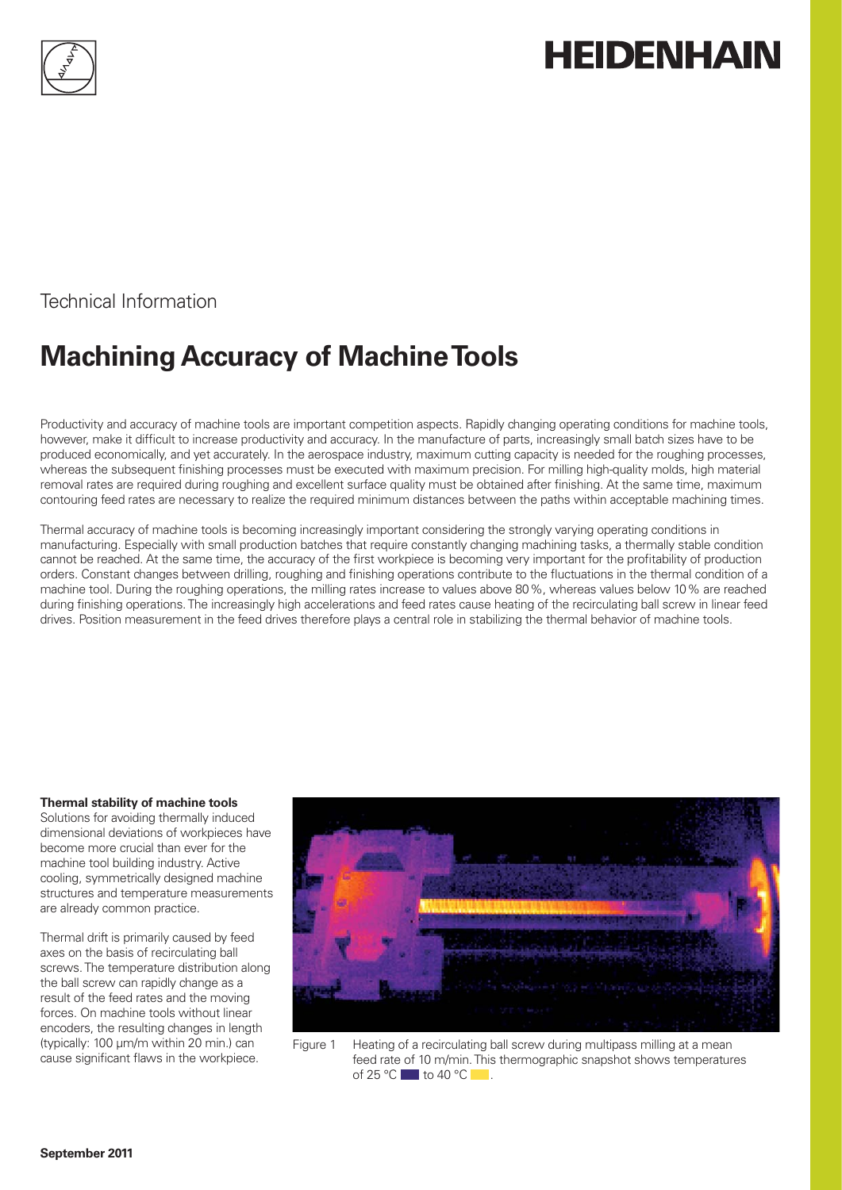

# **HEIDENHAIN**

Technical Information

## **Machining Accuracy of Machine Tools**

Productivity and accuracy of machine tools are important competition aspects. Rapidly changing operating conditions for machine tools, however, make it difficult to increase productivity and accuracy. In the manufacture of parts, increasingly small batch sizes have to be produced economically, and yet accurately. In the aerospace industry, maximum cutting capacity is needed for the roughing processes, whereas the subsequent finishing processes must be executed with maximum precision. For milling high-quality molds, high material removal rates are required during roughing and excellent surface quality must be obtained after finishing. At the same time, maximum contouring feed rates are necessary to realize the required minimum distances between the paths within acceptable machining times.

Thermal accuracy of machine tools is becoming increasingly important considering the strongly varying operating conditions in manufacturing. Especially with small production batches that require constantly changing machining tasks, a thermally stable condition cannot be reached. At the same time, the accuracy of the first workpiece is becoming very important for the profitability of production orders. Constant changes between drilling, roughing and finishing operations contribute to the fluctuations in the thermal condition of a machine tool. During the roughing operations, the milling rates increase to values above 80 %, whereas values below 10 % are reached during finishing operations. The increasingly high accelerations and feed rates cause heating of the recirculating ball screw in linear feed drives. Position measurement in the feed drives therefore plays a central role in stabilizing the thermal behavior of machine tools.

#### **Thermal stability of machine tools**

Solutions for avoiding thermally induced dimensional deviations of workpieces have become more crucial than ever for the machine tool building industry. Active cooling, symmetrically designed machine structures and temperature measurements are already common practice.

Thermal drift is primarily caused by feed axes on the basis of recirculating ball screws. The temperature distribution along the ball screw can rapidly change as a result of the feed rates and the moving forces. On machine tools without linear encoders, the resulting changes in length (typically: 100 µm/m within 20 min.) can cause significant flaws in the workpiece.



Figure 1 Heating of a recirculating ball screw during multipass milling at a mean feed rate of 10 m/min. This thermographic snapshot shows temperatures of 25  $^{\circ}$ C to 40  $^{\circ}$ C ...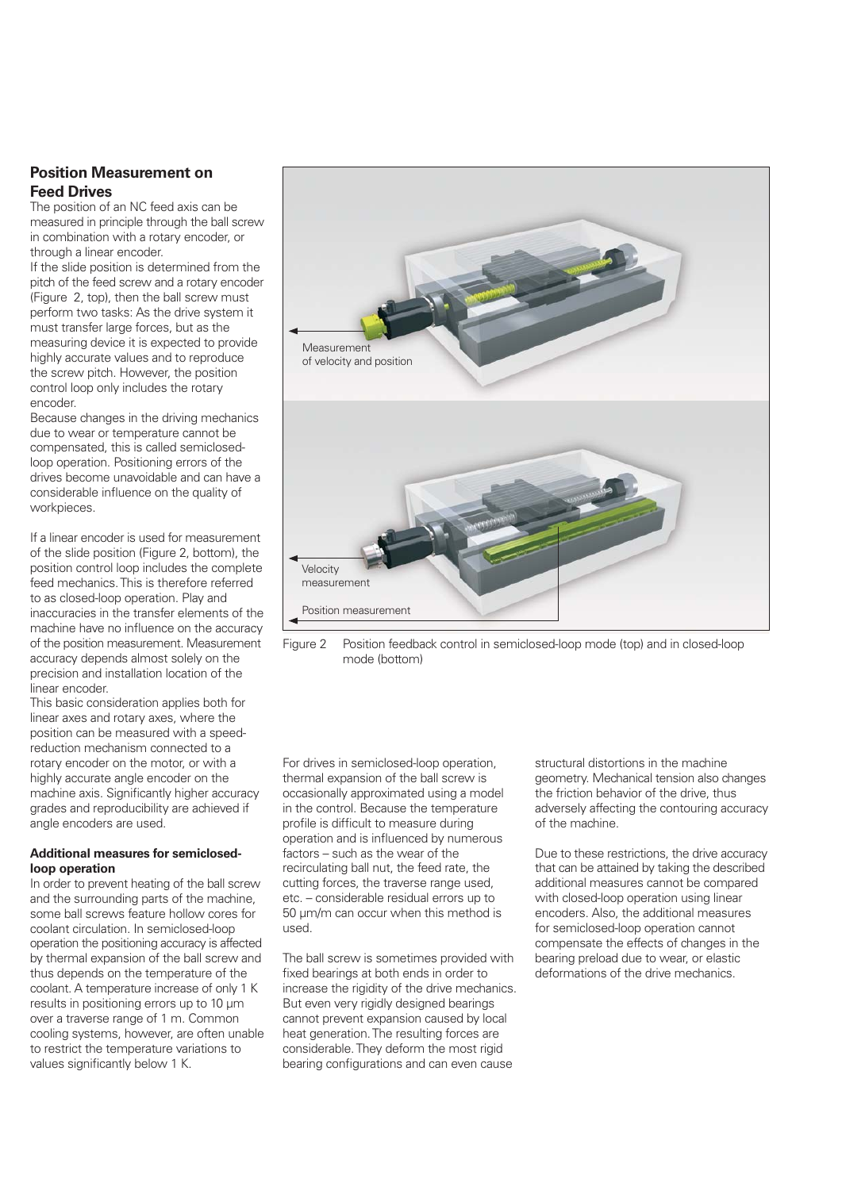#### **Position Measurement on Feed Drives**

The position of an NC feed axis can be measured in principle through the ball screw in combination with a rotary encoder, or through a linear encoder.

If the slide position is determined from the pitch of the feed screw and a rotary encoder (Figure 2, top), then the ball screw must perform two tasks: As the drive system it must transfer large forces, but as the measuring device it is expected to provide highly accurate values and to reproduce the screw pitch. However, the position control loop only includes the rotary encoder.

Because changes in the driving mechanics due to wear or temperature cannot be compensated, this is called semiclosedloop operation. Positioning errors of the drives become unavoidable and can have a considerable influence on the quality of workpieces.

If a linear encoder is used for measurement of the slide position (Figure 2, bottom), the position control loop includes the complete feed mechanics. This is therefore referred to as closed-loop operation. Play and inaccuracies in the transfer elements of the machine have no influence on the accuracy of the position measurement. Measurement accuracy depends almost solely on the precision and installation location of the linear encoder.

This basic consideration applies both for linear axes and rotary axes, where the position can be measured with a speedreduction mechanism connected to a rotary encoder on the motor, or with a highly accurate angle encoder on the machine axis. Significantly higher accuracy grades and reproducibility are achieved if angle encoders are used.

#### **Additional measures for semiclosedloop operation**

In order to prevent heating of the ball screw and the surrounding parts of the machine, some ball screws feature hollow cores for coolant circulation. In semiclosed-loop operation the positioning accuracy is affected by thermal expansion of the ball screw and thus depends on the temperature of the coolant. A temperature increase of only 1 K results in positioning errors up to 10 µm over a traverse range of 1 m. Common cooling systems, however, are often unable to restrict the temperature variations to values significantly below 1 K.



Figure 2 Position feedback control in semiclosed-loop mode (top) and in closed-loop mode (bottom)

For drives in semiclosed-loop operation, thermal expansion of the ball screw is occasionally approximated using a model in the control. Because the temperature profile is difficult to measure during operation and is influenced by numerous factors – such as the wear of the recirculating ball nut, the feed rate, the cutting forces, the traverse range used, etc. – considerable residual errors up to 50 µm/m can occur when this method is used.

The ball screw is sometimes provided with fixed bearings at both ends in order to increase the rigidity of the drive mechanics. But even very rigidly designed bearings cannot prevent expansion caused by local heat generation. The resulting forces are considerable. They deform the most rigid bearing configurations and can even cause

structural distortions in the machine geometry. Mechanical tension also changes the friction behavior of the drive, thus adversely affecting the contouring accuracy of the machine.

Due to these restrictions, the drive accuracy that can be attained by taking the described additional measures cannot be compared with closed-loop operation using linear encoders. Also, the additional measures for semiclosed-loop operation cannot compensate the effects of changes in the bearing preload due to wear, or elastic deformations of the drive mechanics.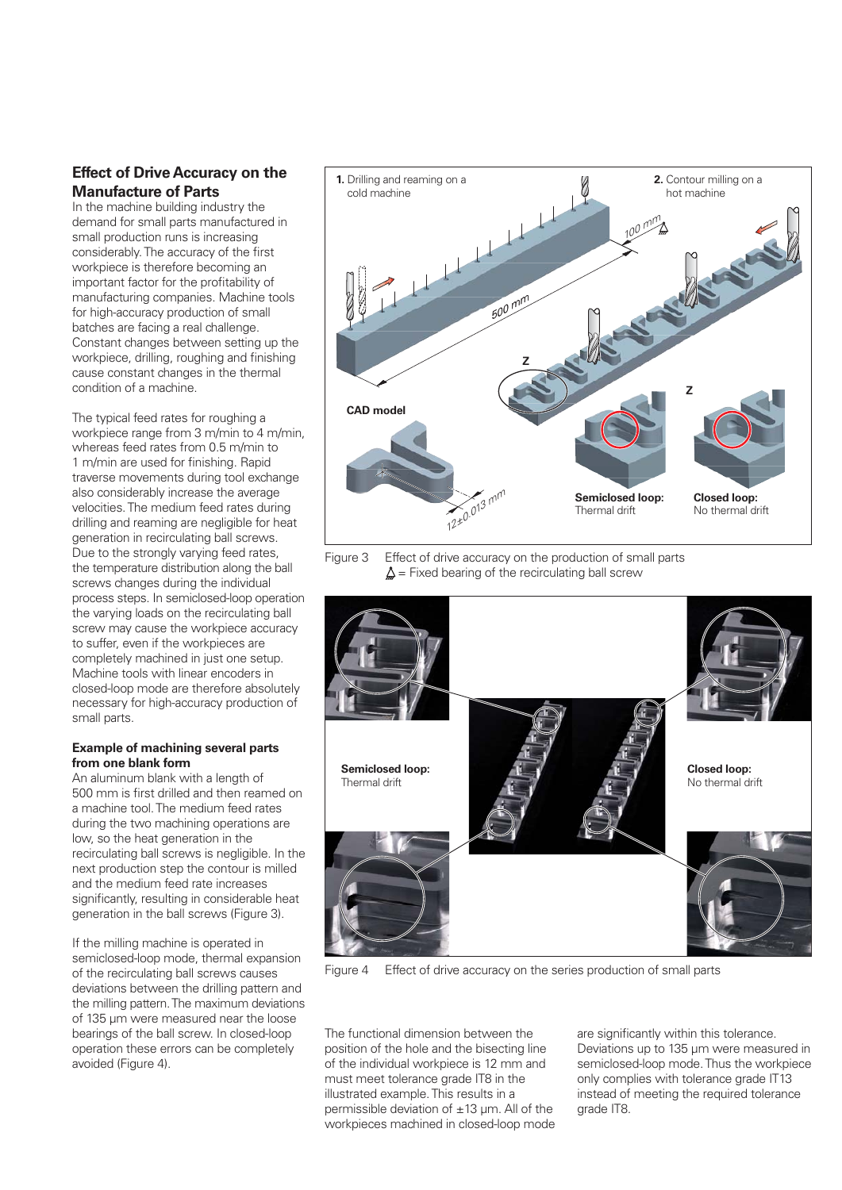#### **Effect of Drive Accuracy on the Manufacture of Parts**

In the machine building industry the demand for small parts manufactured in small production runs is increasing considerably. The accuracy of the first workpiece is therefore becoming an important factor for the profitability of manufacturing companies. Machine tools for high-accuracy production of small batches are facing a real challenge. Constant changes between setting up the workpiece, drilling, roughing and finishing cause constant changes in the thermal condition of a machine.

The typical feed rates for roughing a workpiece range from 3 m/min to 4 m/min, whereas feed rates from 0.5 m/min to 1 m/min are used for finishing. Rapid traverse movements during tool exchange also considerably increase the average velocities. The medium feed rates during drilling and reaming are negligible for heat generation in recirculating ball screws. Due to the strongly varying feed rates, the temperature distribution along the ball screws changes during the individual process steps. In semiclosed-loop operation the varying loads on the recirculating ball screw may cause the workpiece accuracy to suffer, even if the workpieces are completely machined in just one setup. Machine tools with linear encoders in closed-loop mode are therefore absolutely necessary for high-accuracy production of small parts.

#### **Example of machining several parts from one blank form**

An aluminum blank with a length of 500 mm is first drilled and then reamed on a machine tool. The medium feed rates during the two machining operations are low, so the heat generation in the recirculating ball screws is negligible. In the next production step the contour is milled and the medium feed rate increases significantly, resulting in considerable heat generation in the ball screws (Figure 3).

If the milling machine is operated in semiclosed-loop mode, thermal expansion of the recirculating ball screws causes deviations between the drilling pattern and the milling pattern. The maximum deviations of 135 µm were measured near the loose bearings of the ball screw. In closed-loop operation these errors can be completely avoided (Figure 4).



Figure 3 Effect of drive accuracy on the production of small parts  $\Delta$  = Fixed bearing of the recirculating ball screw



Figure 4 Effect of drive accuracy on the series production of small parts

The functional dimension between the position of the hole and the bisecting line of the individual workpiece is 12 mm and must meet tolerance grade IT8 in the illustrated example. This results in a permissible deviation of ±13 µm. All of the workpieces machined in closed-loop mode

are significantly within this tolerance. Deviations up to 135 µm were measured in semiclosed-loop mode. Thus the workpiece only complies with tolerance grade IT13 instead of meeting the required tolerance grade IT8.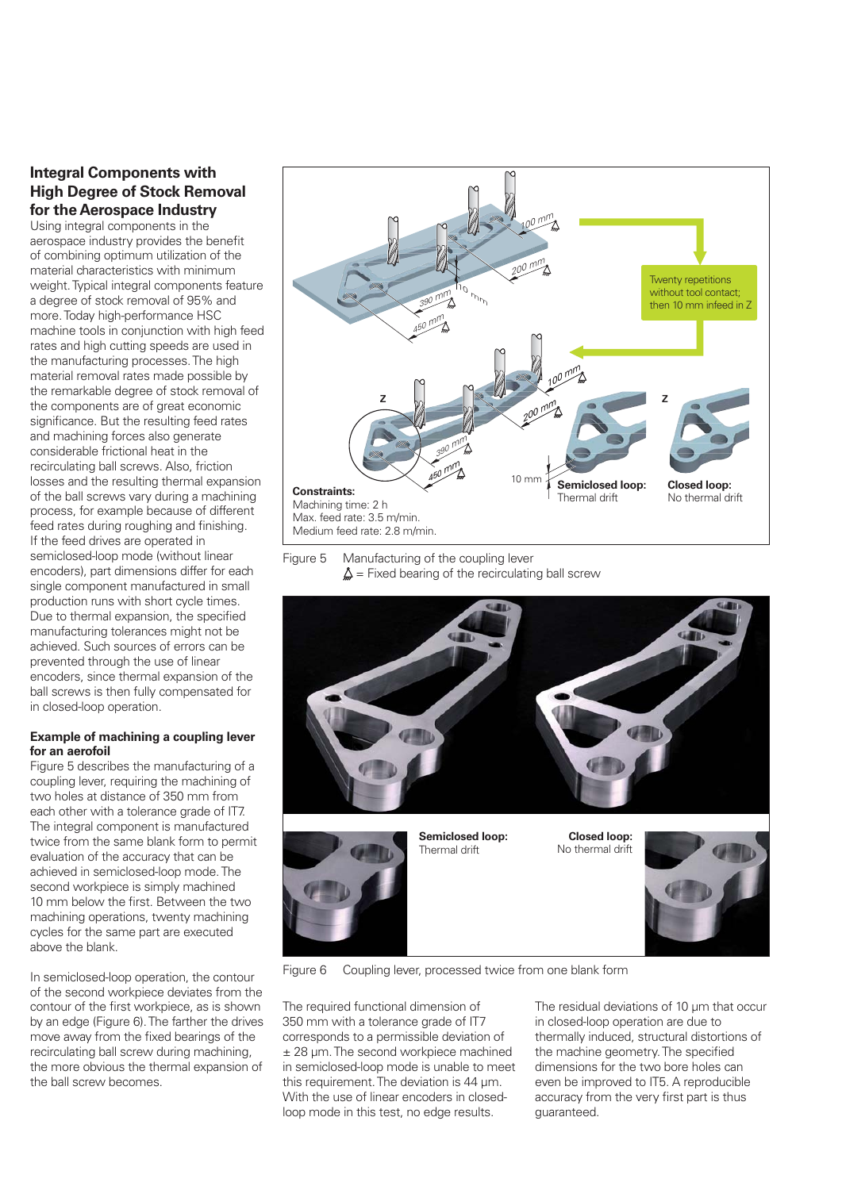#### **Integral Components with High Degree of Stock Removal for the Aerospace Industry**

Using integral components in the aerospace industry provides the benefit of combining optimum utilization of the material characteristics with minimum weight. Typical integral components feature a degree of stock removal of 95% and more. Today high-performance HSC machine tools in conjunction with high feed rates and high cutting speeds are used in the manufacturing processes. The high material removal rates made possible by the remarkable degree of stock removal of the components are of great economic significance. But the resulting feed rates and machining forces also generate considerable frictional heat in the recirculating ball screws. Also, friction losses and the resulting thermal expansion of the ball screws vary during a machining process, for example because of different feed rates during roughing and finishing. If the feed drives are operated in semiclosed-loop mode (without linear encoders), part dimensions differ for each single component manufactured in small production runs with short cycle times. Due to thermal expansion, the specified manufacturing tolerances might not be achieved. Such sources of errors can be prevented through the use of linear encoders, since thermal expansion of the ball screws is then fully compensated for in closed-loop operation.

#### **Example of machining a coupling lever for an aerofoil**

Figure 5 describes the manufacturing of a coupling lever, requiring the machining of two holes at distance of 350 mm from each other with a tolerance grade of IT7. The integral component is manufactured twice from the same blank form to permit evaluation of the accuracy that can be achieved in semiclosed-loop mode. The second workpiece is simply machined 10 mm below the first. Between the two machining operations, twenty machining cycles for the same part are executed above the blank.

In semiclosed-loop operation, the contour of the second workpiece deviates from the contour of the first workpiece, as is shown by an edge (Figure 6). The farther the drives move away from the fixed bearings of the recirculating ball screw during machining, the more obvious the thermal expansion of the ball screw becomes.



Figure 5 Manufacturing of the coupling lever  $\Delta$  = Fixed bearing of the recirculating ball screw





**Closed loop:** No thermal drift



Figure 6 Coupling lever, processed twice from one blank form

The required functional dimension of 350 mm with a tolerance grade of IT7 corresponds to a permissible deviation of ± 28 µm. The second workpiece machined in semiclosed-loop mode is unable to meet this requirement. The deviation is 44 um. With the use of linear encoders in closedloop mode in this test, no edge results.

The residual deviations of 10 um that occur in closed-loop operation are due to thermally induced, structural distortions of the machine geometry. The specified dimensions for the two bore holes can even be improved to IT5. A reproducible accuracy from the very first part is thus guaranteed.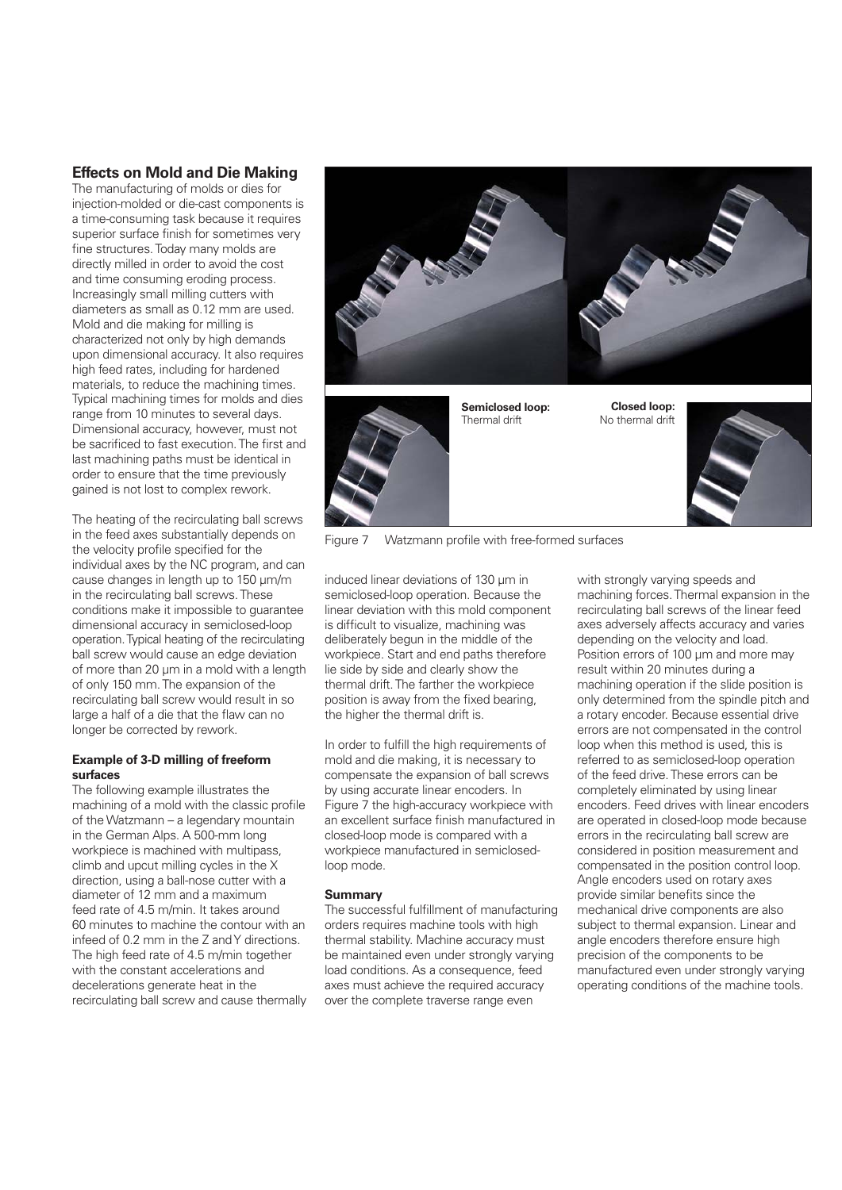#### **Effects on Mold and Die Making**

The manufacturing of molds or dies for injection-molded or die-cast components is a time-consuming task because it requires superior surface finish for sometimes very fine structures. Today many molds are directly milled in order to avoid the cost and time consuming eroding process. Increasingly small milling cutters with diameters as small as 0.12 mm are used. Mold and die making for milling is characterized not only by high demands upon dimensional accuracy. It also requires high feed rates, including for hardened materials, to reduce the machining times. Typical machining times for molds and dies range from 10 minutes to several days. Dimensional accuracy, however, must not be sacrificed to fast execution. The first and last machining paths must be identical in order to ensure that the time previously gained is not lost to complex rework.

The heating of the recirculating ball screws in the feed axes substantially depends on the velocity profile specified for the individual axes by the NC program, and can cause changes in length up to 150 µm/m in the recirculating ball screws. These conditions make it impossible to guarantee dimensional accuracy in semiclosed-loop operation. Typical heating of the recirculating ball screw would cause an edge deviation of more than 20 um in a mold with a length of only 150 mm. The expansion of the recirculating ball screw would result in so large a half of a die that the flaw can no longer be corrected by rework.

#### **Example of 3-D milling of freeform surfaces**

The following example illustrates the machining of a mold with the classic profile of the Watzmann – a legendary mountain in the German Alps. A 500-mm long workpiece is machined with multipass climb and upcut milling cycles in the X direction, using a ball-nose cutter with a diameter of 12 mm and a maximum feed rate of 4.5 m/min. It takes around 60 minutes to machine the contour with an infeed of 0.2 mm in the Z and Y directions. The high feed rate of 4.5 m/min together with the constant accelerations and decelerations generate heat in the recirculating ball screw and cause thermally





**Semiclosed loop:** Thermal drift

**Closed loop:** No thermal drift



Figure 7 Watzmann profile with free-formed surfaces

induced linear deviations of 130 µm in semiclosed-loop operation. Because the linear deviation with this mold component is difficult to visualize, machining was deliberately begun in the middle of the workpiece. Start and end paths therefore lie side by side and clearly show the thermal drift. The farther the workpiece position is away from the fixed bearing, the higher the thermal drift is.

In order to fulfill the high requirements of mold and die making, it is necessary to compensate the expansion of ball screws by using accurate linear encoders. In Figure 7 the high-accuracy workpiece with an excellent surface finish manufactured in closed-loop mode is compared with a workpiece manufactured in semiclosedloop mode.

#### **Summary**

The successful fulfillment of manufacturing orders requires machine tools with high thermal stability. Machine accuracy must be maintained even under strongly varying load conditions. As a consequence, feed axes must achieve the required accuracy over the complete traverse range even

with strongly varying speeds and machining forces. Thermal expansion in the recirculating ball screws of the linear feed axes adversely affects accuracy and varies depending on the velocity and load. Position errors of 100 µm and more may result within 20 minutes during a machining operation if the slide position is only determined from the spindle pitch and a rotary encoder. Because essential drive errors are not compensated in the control loop when this method is used, this is referred to as semiclosed-loop operation of the feed drive. These errors can be completely eliminated by using linear encoders. Feed drives with linear encoders are operated in closed-loop mode because errors in the recirculating ball screw are considered in position measurement and compensated in the position control loop. Angle encoders used on rotary axes provide similar benefits since the mechanical drive components are also subject to thermal expansion. Linear and angle encoders therefore ensure high precision of the components to be manufactured even under strongly varying operating conditions of the machine tools.